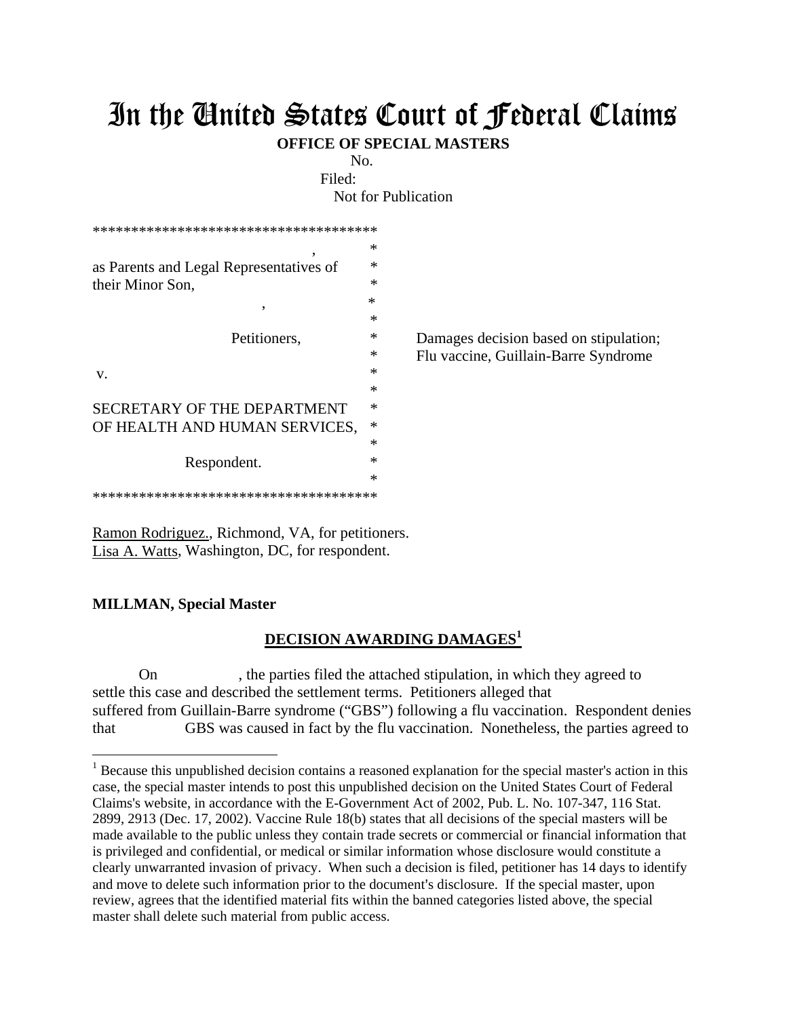## In the United States Court of Federal Claims

**OFFICE OF SPECIAL MASTERS**

No.

Filed: Not for Publication

| **************************************                           |        |                                        |
|------------------------------------------------------------------|--------|----------------------------------------|
| ۰                                                                | $\ast$ |                                        |
| as Parents and Legal Representatives of<br>their Minor Son,<br>, | ∗      |                                        |
|                                                                  | $\ast$ |                                        |
|                                                                  | $\ast$ |                                        |
|                                                                  | $\ast$ |                                        |
| Petitioners,                                                     | ∗      | Damages decision based on stipulation; |
|                                                                  | ∗      | Flu vaccine, Guillain-Barre Syndrome   |
| V.                                                               | $\ast$ |                                        |
|                                                                  | ∗      |                                        |
| SECRETARY OF THE DEPARTMENT                                      | ∗      |                                        |
| OF HEALTH AND HUMAN SERVICES,                                    | $\ast$ |                                        |
|                                                                  | ∗      |                                        |
| Respondent.                                                      | ∗      |                                        |
|                                                                  | $\ast$ |                                        |
| **************************************                           |        |                                        |

Ramon Rodriguez., Richmond, VA, for petitioners. Lisa A. Watts, Washington, DC, for respondent.

## **MILLMAN, Special Master**

 $\overline{a}$ 

## **DECISION AWARDING DAMAGES<sup>1</sup>**

 On , the parties filed the attached stipulation, in which they agreed to settle this case and described the settlement terms. Petitioners alleged that suffered from Guillain-Barre syndrome ("GBS") following a flu vaccination. Respondent denies that GBS was caused in fact by the flu vaccination. Nonetheless, the parties agreed to

<sup>&</sup>lt;sup>1</sup> Because this unpublished decision contains a reasoned explanation for the special master's action in this case, the special master intends to post this unpublished decision on the United States Court of Federal Claims's website, in accordance with the E-Government Act of 2002, Pub. L. No. 107-347, 116 Stat. 2899, 2913 (Dec. 17, 2002). Vaccine Rule 18(b) states that all decisions of the special masters will be made available to the public unless they contain trade secrets or commercial or financial information that is privileged and confidential, or medical or similar information whose disclosure would constitute a clearly unwarranted invasion of privacy. When such a decision is filed, petitioner has 14 days to identify and move to delete such information prior to the document's disclosure. If the special master, upon review, agrees that the identified material fits within the banned categories listed above, the special master shall delete such material from public access.